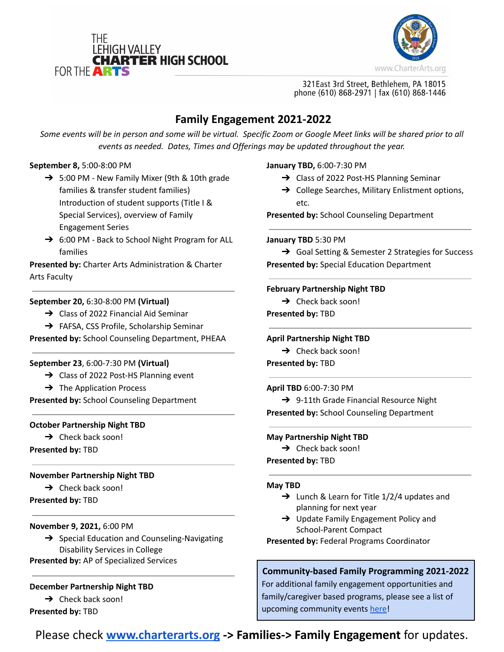



321 East 3rd Street, Bethlehem, PA 18015 phone (610) 868-2971 | fax (610) 868-1446

# **Family Engagement 2021-2022**

Some events will be in person and some will be virtual. Specific Zoom or Google Meet links will be shared prior to all *events as needed. Dates, Times and Offerings may be updated throughout the year.*

## **September 8,** 5:00-8:00 PM

- $\rightarrow$  5:00 PM New Family Mixer (9th & 10th grade families & transfer student families) Introduction of student supports (Title I & Special Services), overview of Family Engagement Series
- ➔ 6:00 PM *-* Back to School Night Program for ALL families

**Presented by:** Charter Arts Administration & Charter Arts Faculty

## **September 20,** 6:30-8:00 PM **(Virtual)**

- ➔ Class of 2022 Financial Aid Seminar
- → FAFSA, CSS Profile, Scholarship Seminar

**Presented by:** School Counseling Department, PHEAA

## **September 23**, 6:00-7:30 PM **(Virtual)**

- ➔ Class of 2022 Post-HS Planning event
- $\rightarrow$  The Application Process

**Presented by:** School Counseling Department

## **October Partnership Night TBD**

 $\rightarrow$  Check back soon!

**Presented by:** TBD

# **November Partnership Night TBD**

 $\rightarrow$  Check back soon!

**Presented by:** TBD

## **November 9, 2021,** 6:00 PM

- → Special Education and Counseling-Navigating Disability Services in College
- **Presented by:** AP of Specialized Services

# **December Partnership Night TBD**

 $\rightarrow$  Check back soon!

**Presented by:** TBD

## **January TBD,** 6:00-7:30 PM

- $\rightarrow$  Class of 2022 Post-HS Planning Seminar
- **→** College Searches, Military Enlistment options, etc.

**Presented by:** School Counseling Department

## **January TBD** 5:30 PM

➔ Goal Setting & Semester 2 Strategies for Success **Presented by:** Special Education Department

## **February Partnership Night TBD**

 $\rightarrow$  Check back soon! **Presented by:** TBD

# **April Partnership Night TBD**

 $\rightarrow$  Check back soon! **Presented by:** TBD

## **April TBD** 6:00-7:30 PM

→ 9-11th Grade Financial Resource Night **Presented by:** School Counseling Department

# **May Partnership Night TBD**

 $\rightarrow$  Check back soon!

**Presented by:** TBD

# **May TBD**

- $\rightarrow$  Lunch & Learn for Title 1/2/4 updates and planning for next year
- ➔ Update Family Engagement Policy and School-Parent Compact

**Presented by:** Federal Programs Coordinator

# **Community-based Family Programming 2021-2022**

For additional family engagement opportunities and family/caregiver based programs, please see a list of upcoming community events [here](https://docs.google.com/document/d/1DhPiuKJw4-tOTPTfGAv8U72aLhRWZqkVYgncRh6DWsM/edit?usp=sharing)!

Please check **[www.charterarts.org](http://www.charterarts.org) -> Families-> Family Engagement** for updates.